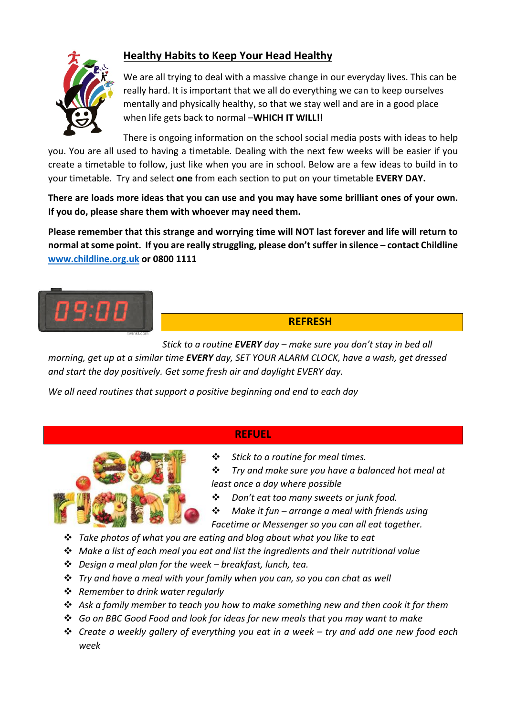

# **Healthy Habits to Keep Your Head Healthy**

We are all trying to deal with a massive change in our everyday lives. This can be really hard. It is important that we all do everything we can to keep ourselves mentally and physically healthy, so that we stay well and are in a good place when life gets back to normal -**WHICH IT WILL!!** 

There is ongoing information on the school social media posts with ideas to help you. You are all used to having a timetable. Dealing with the next few weeks will be easier if you create a timetable to follow, just like when you are in school. Below are a few ideas to build in to your timetable. Try and select one from each section to put on your timetable EVERY DAY.

There are loads more ideas that you can use and you may have some brilliant ones of your own. If you do, please share them with whoever may need them.

Please remember that this strange and worrying time will NOT last forever and life will return to **normal at some point. If you are really struggling, please don't suffer in silence – contact Childline www.childline.org.uk or 0800 1111**



# **REFRESH**

*Stick* to a routine **EVERY** day – make sure you don't stay in bed all

*morning, get up at a similar time EVERY day, SET YOUR ALARM CLOCK, have a wash, get dressed* and start the day positively. Get some fresh air and daylight EVERY day.

*We all need routines that support a positive beginning and end to each day* 

## **REFUEL**



**❖** Stick to a routine for meal times.

 $\dots$  *Trv* and make sure vou have a balanced hot meal at *least once a day where possible*

- **❖** *Don't eat too many sweets or junk food.*
- **❖** Make it fun arrange a meal with friends using Facetime or Messenger so you can all eat together.
- **→** *Take photos of what you are eating and blog about what you like to eat*
- **→** Make a list of each meal you eat and list the ingredients and their nutritional value
- v *Design a meal plan for the week – breakfast, lunch, tea.*
- $\dots$  *Try* and have a meal with your family when you can, so you can chat as well
- v *Remember to drink water regularly*
- $\dots$  Ask a family member to teach you how to make something new and then cook it for them
- v *Go on BBC Good Food and look for ideas for new meals that you may want to make*
- $\dots$  *Create a weekly gallery of everything you eat in a week try and add one new food each week*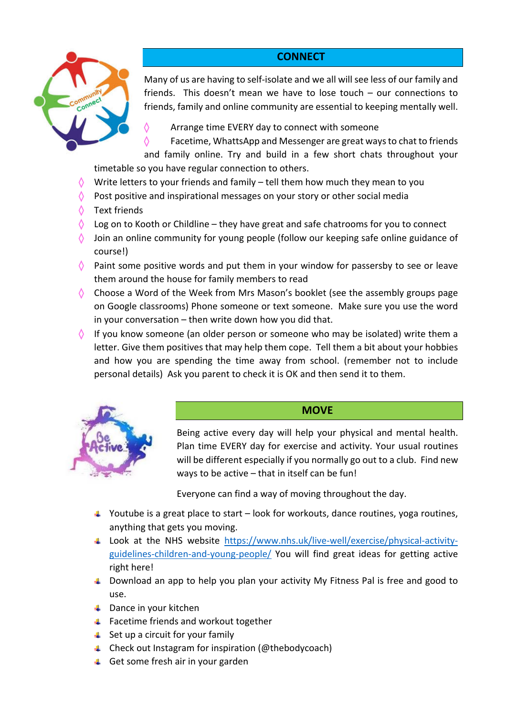## **CONNECT**



Many of us are having to self-isolate and we all will see less of our family and friends. This doesn't mean we have to lose touch  $-$  our connections to friends, family and online community are essential to keeping mentally well.

Arrange time EVERY day to connect with someone

 $\Diamond$  Facetime, WhattsApp and Messenger are great ways to chat to friends and family online. Try and build in a few short chats throughout your timetable so you have regular connection to others.

- Write letters to your friends and family  $-$  tell them how much they mean to you
- Post positive and inspirational messages on your story or other social media
- $\Diamond$  Text friends
- Log on to Kooth or Childline they have great and safe chatrooms for you to connect
- Join an online community for young people (follow our keeping safe online guidance of course!)
- $\Diamond$  Paint some positive words and put them in your window for passersby to see or leave them around the house for family members to read
- $\Diamond$  Choose a Word of the Week from Mrs Mason's booklet (see the assembly groups page on Google classrooms) Phone someone or text someone. Make sure you use the word in your conversation  $-$  then write down how you did that.
- $\Diamond$  If you know someone (an older person or someone who may be isolated) write them a letter. Give them positives that may help them cope. Tell them a bit about your hobbies and how you are spending the time away from school. (remember not to include personal details) Ask you parent to check it is OK and then send it to them.



## **MOVE**

Being active every day will help your physical and mental health. Plan time EVERY day for exercise and activity. Your usual routines will be different especially if you normally go out to a club. Find new ways to be active  $-$  that in itself can be fun!

Everyone can find a way of moving throughout the day.

- $\downarrow$  Youtube is a great place to start look for workouts, dance routines, yoga routines, anything that gets you moving.
- Look at the NHS website https://www.nhs.uk/live-well/exercise/physical-activityguidelines-children-and-young-people/ You will find great ideas for getting active right here!
- $\uparrow$  Download an app to help you plan your activity My Fitness Pal is free and good to use.
- $\leftarrow$  Dance in your kitchen
- $\leftarrow$  Facetime friends and workout together
- $\downarrow$  Set up a circuit for your family
- $\leftarrow$  Check out Instagram for inspiration (@thebodycoach)
- $\downarrow$  Get some fresh air in your garden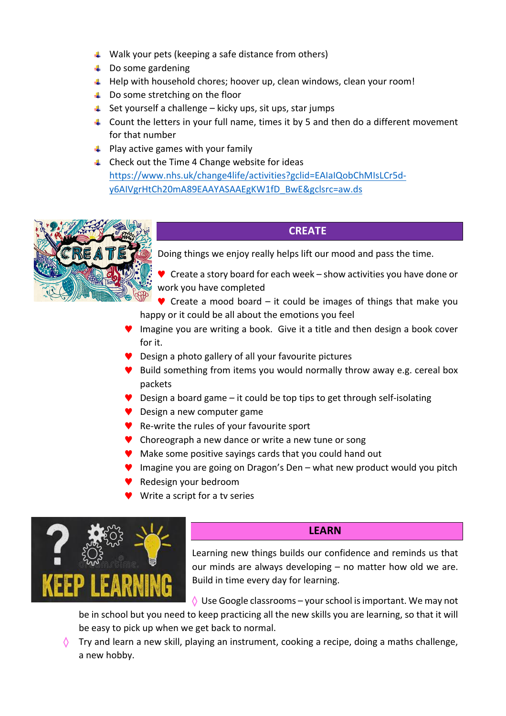- $\downarrow$  Walk your pets (keeping a safe distance from others)
- $\downarrow$  Do some gardening
- $\downarrow$  Help with household chores; hoover up, clean windows, clean your room!
- $\downarrow$  Do some stretching on the floor
- $\pm$  Set yourself a challenge kicky ups, sit ups, star jumps
- **4** Count the letters in your full name, times it by 5 and then do a different movement for that number
- $\downarrow$  Play active games with your family
- $\ddot{+}$  Check out the Time 4 Change website for ideas https://www.nhs.uk/change4life/activities?gclid=EAIaIQobChMIsLCr5dy6AIVgrHtCh20mA89EAAYASAAEgKW1fD\_BwE&gclsrc=aw.ds



### **CREATE**

Doing things we enjoy really helps lift our mood and pass the time.

- $\blacktriangledown$  Create a story board for each week show activities you have done or work you have completed
- $\blacktriangleright$  Create a mood board it could be images of things that make you happy or it could be all about the emotions you feel
- Imagine you are writing a book. Give it a title and then design a book cover for it.
- **Design a photo gallery of all your favourite pictures**
- $\blacktriangleright$  Build something from items you would normally throw away e.g. cereal box packets
- **P** Design a board game  $-$  it could be top tips to get through self-isolating
- ◆ Design a new computer game
- $\blacktriangleright$  Re-write the rules of your favourite sport
- ♥ Choreograph a new dance or write a new tune or song
- Make some positive sayings cards that you could hand out
- $\blacksquare$  Imagine you are going on Dragon's Den what new product would you pitch
- Redesign your bedroom
- Write a script for a tv series



### **LEARN**

Learning new things builds our confidence and reminds us that our minds are always developing  $-$  no matter how old we are. Build in time every day for learning.

 $\Diamond$  Use Google classrooms – your school is important. We may not

be in school but you need to keep practicing all the new skills you are learning, so that it will be easy to pick up when we get back to normal.

 $\Diamond$  Try and learn a new skill, playing an instrument, cooking a recipe, doing a maths challenge, a new hobby.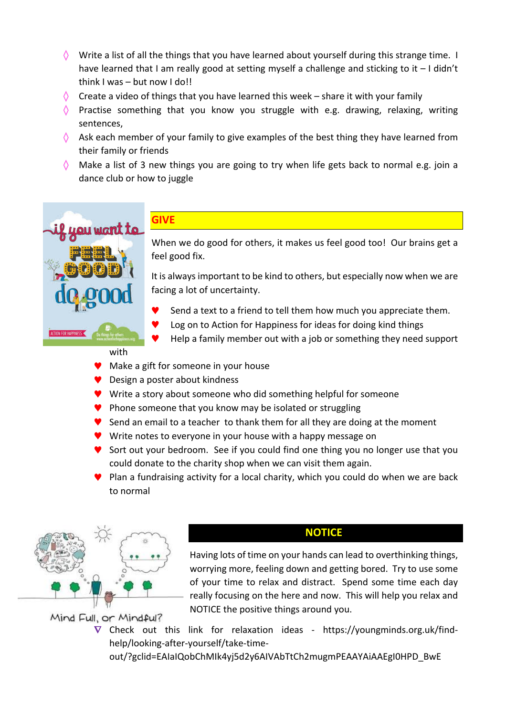- $\Diamond$  Write a list of all the things that you have learned about yourself during this strange time. I have learned that I am really good at setting myself a challenge and sticking to it  $-1$  didn't think  $I$  was  $-$  but now  $I$  do!!
- $\Diamond$  Create a video of things that you have learned this week share it with your family
- $\Diamond$  Practise something that you know you struggle with e.g. drawing, relaxing, writing sentences,
- $\Diamond$  Ask each member of your family to give examples of the best thing they have learned from their family or friends
- $\Diamond$  Make a list of 3 new things you are going to try when life gets back to normal e.g. join a dance club or how to juggle



# **GIVE**

When we do good for others, it makes us feel good too! Our brains get a feel good fix.

It is always important to be kind to others, but especially now when we are facing a lot of uncertainty.

- Send a text to a friend to tell them how much you appreciate them.
- Log on to Action for Happiness for ideas for doing kind things
- Help a family member out with a job or something they need support

#### with

- $\blacktriangleright$  Make a gift for someone in your house
- ◆ Design a poster about kindness
- $\blacktriangledown$  Write a story about someone who did something helpful for someone
- $\blacktriangledown$  Phone someone that you know may be isolated or struggling
- $\blacktriangledown$  Send an email to a teacher to thank them for all they are doing at the moment
- $\blacktriangledown$  Write notes to everyone in your house with a happy message on
- $\blacktriangledown$  Sort out your bedroom. See if you could find one thing you no longer use that you could donate to the charity shop when we can visit them again.
- $\blacktriangledown$  Plan a fundraising activity for a local charity, which you could do when we are back to normal





Having lots of time on your hands can lead to overthinking things, worrying more, feeling down and getting bored. Try to use some of your time to relax and distract. Spend some time each day really focusing on the here and now. This will help you relax and NOTICE the positive things around you.

Mind Full, or Mindful?

 $\nabla$  Check out this link for relaxation ideas - https://youngminds.org.uk/findhelp/looking-after-yourself/take-time-

out/?gclid=EAIaIQobChMIk4yj5d2y6AIVAbTtCh2mugmPEAAYAiAAEgI0HPD\_BwE